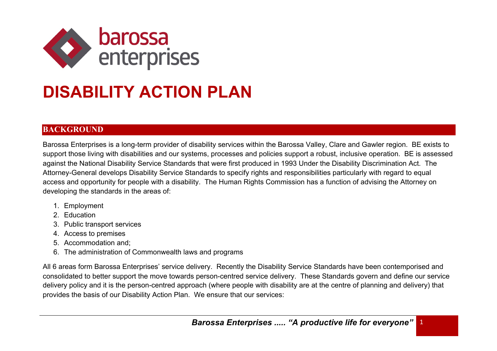

## **DISABILITY ACTION PLAN**

## **BACKGROUND**

Barossa Enterprises is a long-term provider of disability services within the Barossa Valley, Clare and Gawler region. BE exists to support those living with disabilities and our systems, processes and policies support a robust, inclusive operation. BE is assessed against the National Disability Service Standards that were first produced in 1993 Under the Disability Discrimination Act. The Attorney-General develops Disability Service Standards to specify rights and responsibilities particularly with regard to equal access and opportunity for people with a disability. The Human Rights Commission has a function of advising the Attorney on developing the standards in the areas of:

- 1. Employment
- 2. Education
- 3. Public transport services
- 4. Access to premises
- 5. Accommodation and;
- 6. The administration of Commonwealth laws and programs

All 6 areas form Barossa Enterprises' service delivery. Recently the Disability Service Standards have been contemporised and consolidated to better support the move towards person-centred service delivery. These Standards govern and define our service delivery policy and it is the person-centred approach (where people with disability are at the centre of planning and delivery) that provides the basis of our Disability Action Plan. We ensure that our services: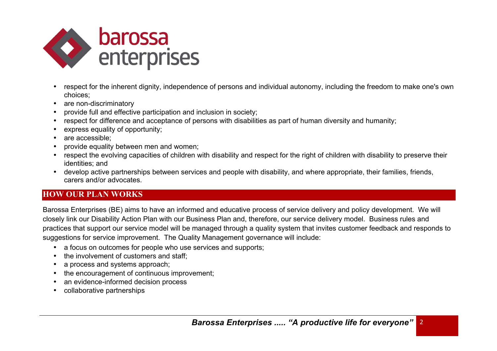

- respect for the inherent dignity, independence of persons and individual autonomy, including the freedom to make one's own choices;
- are non-discriminatory
- provide full and effective participation and inclusion in society;
- respect for difference and acceptance of persons with disabilities as part of human diversity and humanity;
- express equality of opportunity:
- are accessible:
- provide equality between men and women;
- respect the evolving capacities of children with disability and respect for the right of children with disability to preserve their identities; and
- develop active partnerships between services and people with disability, and where appropriate, their families, friends, carers and/or advocates.

## **HOW OUR PLAN WORKS**

Barossa Enterprises (BE) aims to have an informed and educative process of service delivery and policy development. We will closely link our Disability Action Plan with our Business Plan and, therefore, our service delivery model. Business rules and practices that support our service model will be managed through a quality system that invites customer feedback and responds to suggestions for service improvement. The Quality Management governance will include:

- a focus on outcomes for people who use services and supports:
- the involvement of customers and staff;
- a process and systems approach;
- the encouragement of continuous improvement;
- an evidence-informed decision process
- collaborative partnerships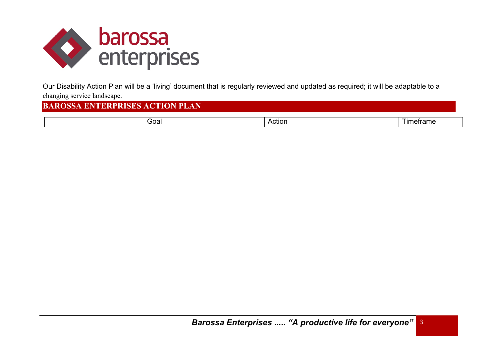

Our Disability Action Plan will be a 'living' document that is regularly reviewed and updated as required; it will be adaptable to a changing service landscape.

## **BAROSSA ENTERPRISES ACTION PLAN**

| ioal<br>____ | сног.<br>. | _____<br>rame |
|--------------|------------|---------------|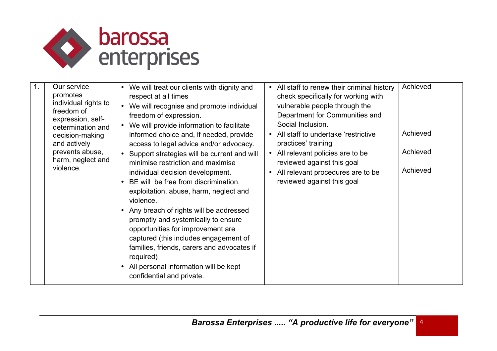

| Our service<br>1.<br>promotes<br>individual rights to<br>freedom of<br>expression, self-<br>determination and<br>decision-making<br>and actively<br>prevents abuse,<br>harm, neglect and<br>violence. | • We will treat our clients with dignity and<br>respect at all times<br>• We will recognise and promote individual<br>freedom of expression.<br>• We will provide information to facilitate<br>informed choice and, if needed, provide<br>access to legal advice and/or advocacy.<br>• Support strategies will be current and will<br>minimise restriction and maximise<br>individual decision development.<br>BE will be free from discrimination,<br>exploitation, abuse, harm, neglect and<br>violence.<br>• Any breach of rights will be addressed<br>promptly and systemically to ensure<br>opportunities for improvement are<br>captured (this includes engagement of<br>families, friends, carers and advocates if<br>required)<br>• All personal information will be kept<br>confidential and private. | All staff to renew their criminal history<br>$\bullet$<br>check specifically for working with<br>vulnerable people through the<br>Department for Communities and<br>Social Inclusion.<br>• All staff to undertake 'restrictive<br>practices' training<br>All relevant policies are to be<br>$\bullet$<br>reviewed against this goal<br>All relevant procedures are to be<br>$\bullet$<br>reviewed against this goal | Achieved<br>Achieved<br>Achieved<br>Achieved |
|-------------------------------------------------------------------------------------------------------------------------------------------------------------------------------------------------------|----------------------------------------------------------------------------------------------------------------------------------------------------------------------------------------------------------------------------------------------------------------------------------------------------------------------------------------------------------------------------------------------------------------------------------------------------------------------------------------------------------------------------------------------------------------------------------------------------------------------------------------------------------------------------------------------------------------------------------------------------------------------------------------------------------------|---------------------------------------------------------------------------------------------------------------------------------------------------------------------------------------------------------------------------------------------------------------------------------------------------------------------------------------------------------------------------------------------------------------------|----------------------------------------------|
|-------------------------------------------------------------------------------------------------------------------------------------------------------------------------------------------------------|----------------------------------------------------------------------------------------------------------------------------------------------------------------------------------------------------------------------------------------------------------------------------------------------------------------------------------------------------------------------------------------------------------------------------------------------------------------------------------------------------------------------------------------------------------------------------------------------------------------------------------------------------------------------------------------------------------------------------------------------------------------------------------------------------------------|---------------------------------------------------------------------------------------------------------------------------------------------------------------------------------------------------------------------------------------------------------------------------------------------------------------------------------------------------------------------------------------------------------------------|----------------------------------------------|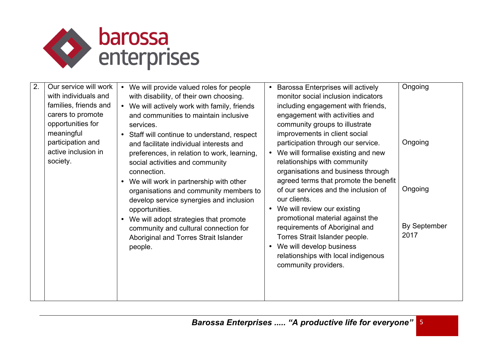

| 2. | Our service will work<br>with individuals and<br>families, friends and<br>carers to promote<br>opportunities for<br>meaningful<br>participation and<br>active inclusion in<br>society. | We will provide valued roles for people<br>$\bullet$<br>with disability, of their own choosing.<br>• We will actively work with family, friends<br>and communities to maintain inclusive<br>services.<br>• Staff will continue to understand, respect<br>and facilitate individual interests and<br>preferences, in relation to work, learning,<br>social activities and community<br>connection.<br>We will work in partnership with other<br>organisations and community members to<br>develop service synergies and inclusion<br>opportunities.<br>We will adopt strategies that promote<br>community and cultural connection for<br>Aboriginal and Torres Strait Islander<br>people. | $\bullet$<br>$\bullet$<br>$\bullet$<br>$\bullet$ | <b>Barossa Enterprises will actively</b><br>monitor social inclusion indicators<br>including engagement with friends,<br>engagement with activities and<br>community groups to illustrate<br>improvements in client social<br>participation through our service.<br>We will formalise existing and new<br>relationships with community<br>organisations and business through<br>agreed terms that promote the benefit<br>of our services and the inclusion of<br>our clients.<br>We will review our existing<br>promotional material against the<br>requirements of Aboriginal and<br>Torres Strait Islander people.<br>We will develop business<br>relationships with local indigenous<br>community providers. | Ongoing<br>Ongoing<br>Ongoing<br>By September<br>2017 |
|----|----------------------------------------------------------------------------------------------------------------------------------------------------------------------------------------|------------------------------------------------------------------------------------------------------------------------------------------------------------------------------------------------------------------------------------------------------------------------------------------------------------------------------------------------------------------------------------------------------------------------------------------------------------------------------------------------------------------------------------------------------------------------------------------------------------------------------------------------------------------------------------------|--------------------------------------------------|-----------------------------------------------------------------------------------------------------------------------------------------------------------------------------------------------------------------------------------------------------------------------------------------------------------------------------------------------------------------------------------------------------------------------------------------------------------------------------------------------------------------------------------------------------------------------------------------------------------------------------------------------------------------------------------------------------------------|-------------------------------------------------------|
|----|----------------------------------------------------------------------------------------------------------------------------------------------------------------------------------------|------------------------------------------------------------------------------------------------------------------------------------------------------------------------------------------------------------------------------------------------------------------------------------------------------------------------------------------------------------------------------------------------------------------------------------------------------------------------------------------------------------------------------------------------------------------------------------------------------------------------------------------------------------------------------------------|--------------------------------------------------|-----------------------------------------------------------------------------------------------------------------------------------------------------------------------------------------------------------------------------------------------------------------------------------------------------------------------------------------------------------------------------------------------------------------------------------------------------------------------------------------------------------------------------------------------------------------------------------------------------------------------------------------------------------------------------------------------------------------|-------------------------------------------------------|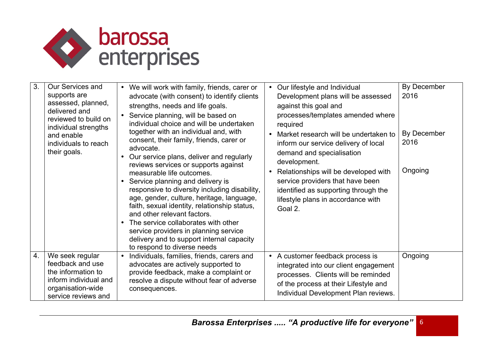

| 3 <sub>1</sub> | Our Services and                                                                                                               | We will work with family, friends, carer or<br>$\bullet$                                                                                                                                                                                                                                                                                                                                               | $\bullet$ | Our lifestyle and Individual                                                                                                                                                                    | By December         |
|----------------|--------------------------------------------------------------------------------------------------------------------------------|--------------------------------------------------------------------------------------------------------------------------------------------------------------------------------------------------------------------------------------------------------------------------------------------------------------------------------------------------------------------------------------------------------|-----------|-------------------------------------------------------------------------------------------------------------------------------------------------------------------------------------------------|---------------------|
|                | supports are<br>assessed, planned,<br>delivered and<br>reviewed to build on<br>individual strengths                            | advocate (with consent) to identify clients<br>strengths, needs and life goals.<br>Service planning, will be based on<br>individual choice and will be undertaken                                                                                                                                                                                                                                      |           | Development plans will be assessed<br>against this goal and<br>processes/templates amended where<br>required                                                                                    | 2016                |
|                | and enable<br>individuals to reach<br>their goals.                                                                             | together with an individual and, with<br>consent, their family, friends, carer or<br>advocate.<br>• Our service plans, deliver and regularly<br>reviews services or supports against                                                                                                                                                                                                                   |           | Market research will be undertaken to<br>inform our service delivery of local<br>demand and specialisation<br>development.                                                                      | By December<br>2016 |
|                |                                                                                                                                | measurable life outcomes.<br>Service planning and delivery is<br>responsive to diversity including disability,<br>age, gender, culture, heritage, language,<br>faith, sexual identity, relationship status,<br>and other relevant factors.<br>The service collaborates with other<br>service providers in planning service<br>delivery and to support internal capacity<br>to respond to diverse needs |           | Relationships will be developed with<br>service providers that have been<br>identified as supporting through the<br>lifestyle plans in accordance with<br>Goal 2.                               | Ongoing             |
| 4.             | We seek regular<br>feedback and use<br>the information to<br>inform individual and<br>organisation-wide<br>service reviews and | Individuals, families, friends, carers and<br>advocates are actively supported to<br>provide feedback, make a complaint or<br>resolve a dispute without fear of adverse<br>consequences.                                                                                                                                                                                                               | $\bullet$ | A customer feedback process is<br>integrated into our client engagement<br>processes. Clients will be reminded<br>of the process at their Lifestyle and<br>Individual Development Plan reviews. | Ongoing             |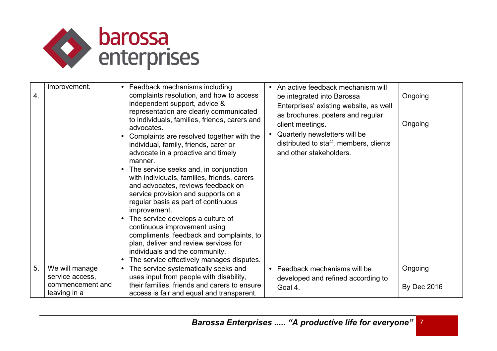

| $\overline{4}$ . | improvement.                                                          | • Feedback mechanisms including<br>complaints resolution, and how to access<br>independent support, advice &<br>representation are clearly communicated<br>to individuals, families, friends, carers and<br>advocates.<br>Complaints are resolved together with the<br>individual, family, friends, carer or<br>advocate in a proactive and timely<br>manner.<br>• The service seeks and, in conjunction<br>with individuals, families, friends, carers<br>and advocates, reviews feedback on<br>service provision and supports on a<br>regular basis as part of continuous<br>improvement.<br>• The service develops a culture of<br>continuous improvement using<br>compliments, feedback and complaints, to<br>plan, deliver and review services for<br>individuals and the community.<br>• The service effectively manages disputes. | An active feedback mechanism will<br>$\bullet$<br>be integrated into Barossa<br>Enterprises' existing website, as well<br>as brochures, posters and regular<br>client meetings.<br>Quarterly newsletters will be<br>distributed to staff, members, clients<br>and other stakeholders. | Ongoing<br>Ongoing            |
|------------------|-----------------------------------------------------------------------|------------------------------------------------------------------------------------------------------------------------------------------------------------------------------------------------------------------------------------------------------------------------------------------------------------------------------------------------------------------------------------------------------------------------------------------------------------------------------------------------------------------------------------------------------------------------------------------------------------------------------------------------------------------------------------------------------------------------------------------------------------------------------------------------------------------------------------------|---------------------------------------------------------------------------------------------------------------------------------------------------------------------------------------------------------------------------------------------------------------------------------------|-------------------------------|
| 5 <sub>1</sub>   | We will manage<br>service access,<br>commencement and<br>leaving in a | • The service systematically seeks and<br>uses input from people with disability,<br>their families, friends and carers to ensure<br>access is fair and equal and transparent.                                                                                                                                                                                                                                                                                                                                                                                                                                                                                                                                                                                                                                                           | Feedback mechanisms will be<br>$\bullet$<br>developed and refined according to<br>Goal 4.                                                                                                                                                                                             | Ongoing<br><b>By Dec 2016</b> |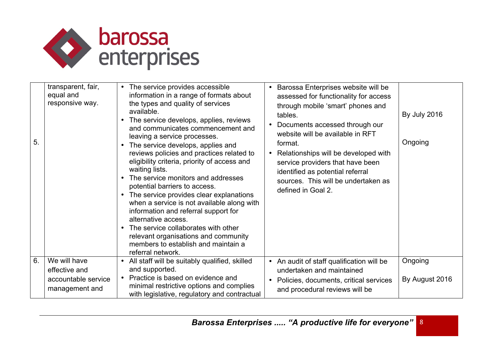

| 5 <sub>1</sub> | transparent, fair,<br>equal and<br>responsive way.                     | The service provides accessible<br>information in a range of formats about<br>the types and quality of services<br>available.<br>• The service develops, applies, reviews<br>and communicates commencement and<br>leaving a service processes.<br>• The service develops, applies and<br>reviews policies and practices related to<br>eligibility criteria, priority of access and<br>waiting lists.<br>• The service monitors and addresses<br>potential barriers to access.<br>The service provides clear explanations<br>when a service is not available along with<br>information and referral support for<br>alternative access.<br>• The service collaborates with other<br>relevant organisations and community<br>members to establish and maintain a<br>referral network. | Barossa Enterprises website will be<br>assessed for functionality for access<br>through mobile 'smart' phones and<br>tables.<br>Documents accessed through our<br>website will be available in RFT<br>format.<br>Relationships will be developed with<br>$\bullet$<br>service providers that have been<br>identified as potential referral<br>sources. This will be undertaken as<br>defined in Goal 2. | <b>By July 2016</b><br>Ongoing |
|----------------|------------------------------------------------------------------------|------------------------------------------------------------------------------------------------------------------------------------------------------------------------------------------------------------------------------------------------------------------------------------------------------------------------------------------------------------------------------------------------------------------------------------------------------------------------------------------------------------------------------------------------------------------------------------------------------------------------------------------------------------------------------------------------------------------------------------------------------------------------------------|---------------------------------------------------------------------------------------------------------------------------------------------------------------------------------------------------------------------------------------------------------------------------------------------------------------------------------------------------------------------------------------------------------|--------------------------------|
| 6.             | We will have<br>effective and<br>accountable service<br>management and | All staff will be suitably qualified, skilled<br>and supported.<br>• Practice is based on evidence and<br>minimal restrictive options and complies<br>with legislative, regulatory and contractual                                                                                                                                                                                                                                                                                                                                                                                                                                                                                                                                                                                 | • An audit of staff qualification will be<br>undertaken and maintained<br>Policies, documents, critical services<br>$\bullet$<br>and procedural reviews will be                                                                                                                                                                                                                                         | Ongoing<br>By August 2016      |